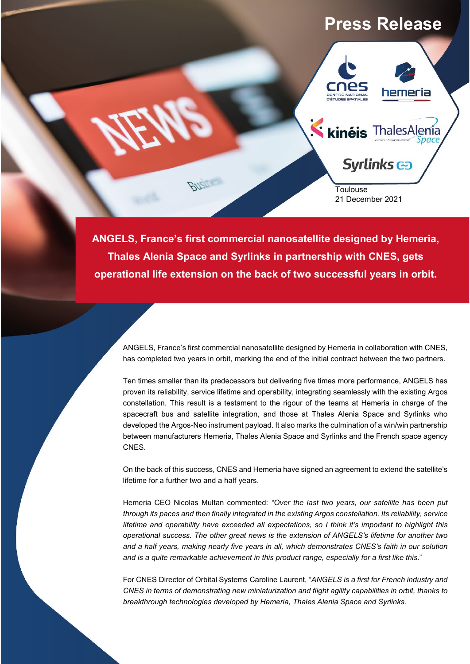# **Press Release**



**ANGELS, France's first commercial nanosatellite designed by Hemeria, Thales Alenia Space and Syrlinks in partnership with CNES, gets operational life extension on the back of two successful years in orbit.**

ANGELS, France's first commercial nanosatellite designed by Hemeria in collaboration with CNES, has completed two years in orbit, marking the end of the initial contract between the two partners.

Ten times smaller than its predecessors but delivering five times more performance, ANGELS has proven its reliability, service lifetime and operability, integrating seamlessly with the existing Argos constellation. This result is a testament to the rigour of the teams at Hemeria in charge of the spacecraft bus and satellite integration, and those at Thales Alenia Space and Syrlinks who developed the Argos-Neo instrument payload. It also marks the culmination of a win/win partnership between manufacturers Hemeria, Thales Alenia Space and Syrlinks and the French space agency CNES.

On the back of this success, CNES and Hemeria have signed an agreement to extend the satellite's lifetime for a further two and a half years.

Hemeria CEO Nicolas Multan commented: *"Over the last two years, our satellite has been put through its paces and then finally integrated in the existing Argos constellation. Its reliability, service lifetime and operability have exceeded all expectations, so I think it's important to highlight this operational success. The other great news is the extension of ANGELS's lifetime for another two and a half years, making nearly five years in all, which demonstrates CNES's faith in our solution and is a quite remarkable achievement in this product range, especially for a first like this*."

For CNES Director of Orbital Systems Caroline Laurent, "*ANGELS is a first for French industry and CNES in terms of demonstrating new miniaturization and flight agility capabilities in orbit, thanks to breakthrough technologies developed by Hemeria, Thales Alenia Space and Syrlinks.*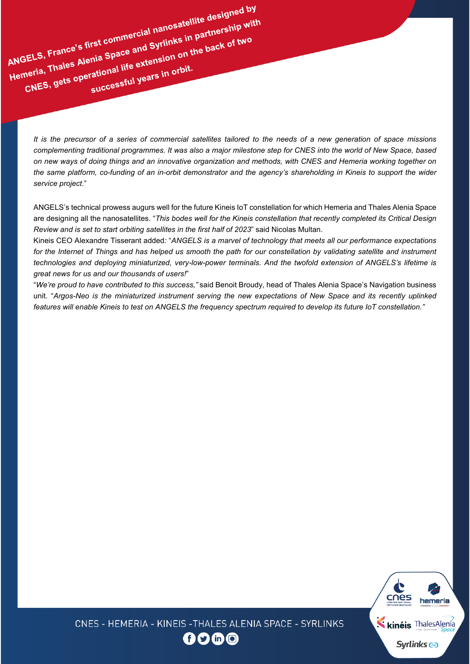ANGELS, France's first commercial nanosatellite designed by<br>ANGELS, France's first commercial nanosatellite designed by<br>ANGELS, France's first commercial nanosatellites in partnership with ANGELS, France's first commercial nanosatellite designed by<br>ANGELS, France's first commercial nanosatellite designed by<br>ANGELS, France's first commercial and Syrlinks in partnership with<br>Hemeria, Thales Alenia Space and Sy SELS, France's first commercial name-<br>SELS, France's first commercial names in partnersment<br>meria, Thales Alenia Space and Syrlinks in pack of two<br>meria, Thales Alenia Space and Syrlinks in orbit.<br>CNES, gets operational li

*It is the precursor of a series of commercial satellites tailored to the needs of a new generation of space missions complementing traditional programmes. It was also a major milestone step for CNES into the world of New Space, based on new ways of doing things and an innovative organization and methods, with CNES and Hemeria working together on the same platform, co-funding of an in-orbit demonstrator and the agency's shareholding in Kineis to support the wider service project*."

ANGELS's technical prowess augurs well for the future Kineis IoT constellation for which Hemeria and Thales Alenia Space are designing all the nanosatellites. "*This bodes well for the Kineis constellation that recently completed its Critical Design Review and is set to start orbiting satellites in the first half of 2023*" said Nicolas Multan.

Kineis CEO Alexandre Tisserant added*:* "*ANGELS is a marvel of technology that meets all our performance expectations for the Internet of Things and has helped us smooth the path for our constellation by validating satellite and instrument technologies and deploying miniaturized, very-low-power terminals. And the twofold extension of ANGELS's lifetime is great news for us and our thousands of users!*"

"*We're proud to have contributed to this success,"* said Benoit Broudy, head of Thales Alenia Space's Navigation business unit. "*Argos-Neo is the miniaturized instrument serving the new expectations of New Space and its recently uplinked features will enable Kineis to test on ANGELS the frequency spectrum required to develop its future IoT constellation."*



CNES - HEMERIA - KINEIS - THALES ALENIA SPACE - SYRLINKS

f 9 in 0